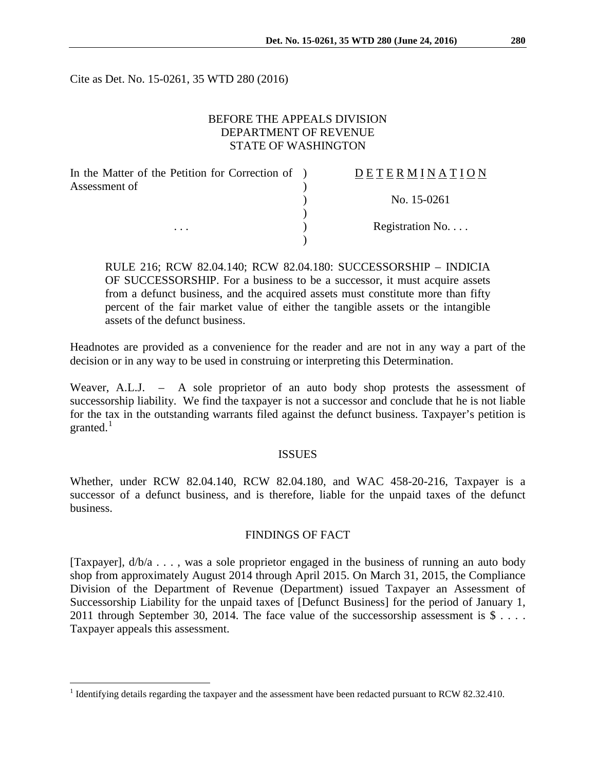Cite as Det. No. 15-0261, 35 WTD 280 (2016)

### BEFORE THE APPEALS DIVISION DEPARTMENT OF REVENUE STATE OF WASHINGTON

| In the Matter of the Petition for Correction of ) | DETERMINATION   |
|---------------------------------------------------|-----------------|
| Assessment of<br>$\cdots$                         |                 |
|                                                   | No. 15-0261     |
|                                                   | Registration No |
|                                                   |                 |
|                                                   |                 |

RULE 216; RCW 82.04.140; RCW 82.04.180: SUCCESSORSHIP – INDICIA OF SUCCESSORSHIP. For a business to be a successor, it must acquire assets from a defunct business, and the acquired assets must constitute more than fifty percent of the fair market value of either the tangible assets or the intangible assets of the defunct business.

Headnotes are provided as a convenience for the reader and are not in any way a part of the decision or in any way to be used in construing or interpreting this Determination.

Weaver, A.L.J. – A sole proprietor of an auto body shop protests the assessment of successorship liability. We find the taxpayer is not a successor and conclude that he is not liable for the tax in the outstanding warrants filed against the defunct business. Taxpayer's petition is granted. $^1$  $^1$ 

#### ISSUES

Whether, under RCW 82.04.140, RCW 82.04.180, and WAC 458-20-216, Taxpayer is a successor of a defunct business, and is therefore, liable for the unpaid taxes of the defunct business.

### FINDINGS OF FACT

[Taxpayer], d/b/a . . . , was a sole proprietor engaged in the business of running an auto body shop from approximately August 2014 through April 2015. On March 31, 2015, the Compliance Division of the Department of Revenue (Department) issued Taxpayer an Assessment of Successorship Liability for the unpaid taxes of [Defunct Business] for the period of January 1, 2011 through September 30, 2014. The face value of the successorship assessment is  $\$\ldots$ . Taxpayer appeals this assessment.

<span id="page-0-0"></span><sup>&</sup>lt;sup>1</sup> Identifying details regarding the taxpayer and the assessment have been redacted pursuant to RCW 82.32.410.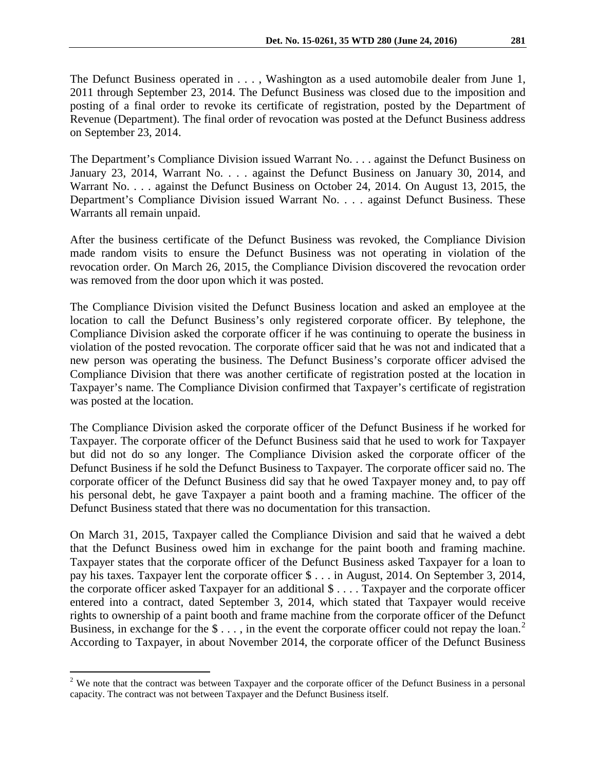The Defunct Business operated in . . . , Washington as a used automobile dealer from June 1, 2011 through September 23, 2014. The Defunct Business was closed due to the imposition and posting of a final order to revoke its certificate of registration, posted by the Department of Revenue (Department). The final order of revocation was posted at the Defunct Business address on September 23, 2014.

The Department's Compliance Division issued Warrant No. . . . against the Defunct Business on January 23, 2014, Warrant No. . . . against the Defunct Business on January 30, 2014, and Warrant No. . . . against the Defunct Business on October 24, 2014. On August 13, 2015, the Department's Compliance Division issued Warrant No. . . . against Defunct Business. These Warrants all remain unpaid.

After the business certificate of the Defunct Business was revoked, the Compliance Division made random visits to ensure the Defunct Business was not operating in violation of the revocation order. On March 26, 2015, the Compliance Division discovered the revocation order was removed from the door upon which it was posted.

The Compliance Division visited the Defunct Business location and asked an employee at the location to call the Defunct Business's only registered corporate officer. By telephone, the Compliance Division asked the corporate officer if he was continuing to operate the business in violation of the posted revocation. The corporate officer said that he was not and indicated that a new person was operating the business. The Defunct Business's corporate officer advised the Compliance Division that there was another certificate of registration posted at the location in Taxpayer's name. The Compliance Division confirmed that Taxpayer's certificate of registration was posted at the location.

The Compliance Division asked the corporate officer of the Defunct Business if he worked for Taxpayer. The corporate officer of the Defunct Business said that he used to work for Taxpayer but did not do so any longer. The Compliance Division asked the corporate officer of the Defunct Business if he sold the Defunct Business to Taxpayer. The corporate officer said no. The corporate officer of the Defunct Business did say that he owed Taxpayer money and, to pay off his personal debt, he gave Taxpayer a paint booth and a framing machine. The officer of the Defunct Business stated that there was no documentation for this transaction.

On March 31, 2015, Taxpayer called the Compliance Division and said that he waived a debt that the Defunct Business owed him in exchange for the paint booth and framing machine. Taxpayer states that the corporate officer of the Defunct Business asked Taxpayer for a loan to pay his taxes. Taxpayer lent the corporate officer \$ . . . in August, 2014. On September 3, 2014, the corporate officer asked Taxpayer for an additional  $\hat{\mathcal{S}}$ .... Taxpayer and the corporate officer entered into a contract, dated September 3, 2014, which stated that Taxpayer would receive rights to ownership of a paint booth and frame machine from the corporate officer of the Defunct Business, in exchange for the  $\$\ldots\]$ , in the event the corporate officer could not repay the loan.<sup>[2](#page-1-0)</sup> According to Taxpayer, in about November 2014, the corporate officer of the Defunct Business

<span id="page-1-0"></span> $2$  We note that the contract was between Taxpayer and the corporate officer of the Defunct Business in a personal capacity. The contract was not between Taxpayer and the Defunct Business itself.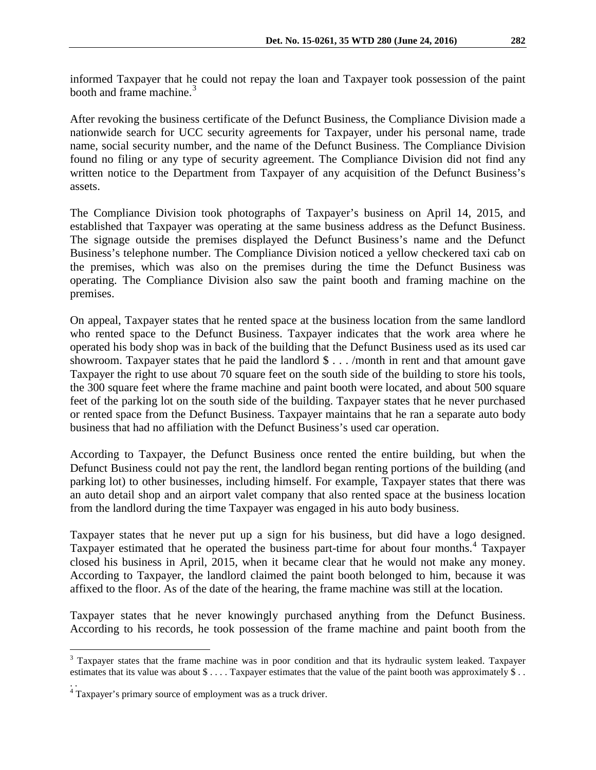informed Taxpayer that he could not repay the loan and Taxpayer took possession of the paint booth and frame machine.<sup>[3](#page-2-0)</sup>

After revoking the business certificate of the Defunct Business, the Compliance Division made a nationwide search for UCC security agreements for Taxpayer, under his personal name, trade name, social security number, and the name of the Defunct Business. The Compliance Division found no filing or any type of security agreement. The Compliance Division did not find any written notice to the Department from Taxpayer of any acquisition of the Defunct Business's assets.

The Compliance Division took photographs of Taxpayer's business on April 14, 2015, and established that Taxpayer was operating at the same business address as the Defunct Business. The signage outside the premises displayed the Defunct Business's name and the Defunct Business's telephone number. The Compliance Division noticed a yellow checkered taxi cab on the premises, which was also on the premises during the time the Defunct Business was operating. The Compliance Division also saw the paint booth and framing machine on the premises.

On appeal, Taxpayer states that he rented space at the business location from the same landlord who rented space to the Defunct Business. Taxpayer indicates that the work area where he operated his body shop was in back of the building that the Defunct Business used as its used car showroom. Taxpayer states that he paid the landlord  $\frac{1}{2}$ ... /month in rent and that amount gave Taxpayer the right to use about 70 square feet on the south side of the building to store his tools, the 300 square feet where the frame machine and paint booth were located, and about 500 square feet of the parking lot on the south side of the building. Taxpayer states that he never purchased or rented space from the Defunct Business. Taxpayer maintains that he ran a separate auto body business that had no affiliation with the Defunct Business's used car operation.

According to Taxpayer, the Defunct Business once rented the entire building, but when the Defunct Business could not pay the rent, the landlord began renting portions of the building (and parking lot) to other businesses, including himself. For example, Taxpayer states that there was an auto detail shop and an airport valet company that also rented space at the business location from the landlord during the time Taxpayer was engaged in his auto body business.

Taxpayer states that he never put up a sign for his business, but did have a logo designed. Taxpayer estimated that he operated the business part-time for about four months.<sup>[4](#page-2-1)</sup> Taxpayer closed his business in April, 2015, when it became clear that he would not make any money. According to Taxpayer, the landlord claimed the paint booth belonged to him, because it was affixed to the floor. As of the date of the hearing, the frame machine was still at the location.

Taxpayer states that he never knowingly purchased anything from the Defunct Business. According to his records, he took possession of the frame machine and paint booth from the

<span id="page-2-0"></span><sup>&</sup>lt;sup>3</sup> Taxpayer states that the frame machine was in poor condition and that its hydraulic system leaked. Taxpayer estimates that its value was about \$ . . . . Taxpayer estimates that the value of the paint booth was approximately \$ . . . .

<span id="page-2-1"></span><sup>&</sup>lt;sup>4</sup> Taxpayer's primary source of employment was as a truck driver.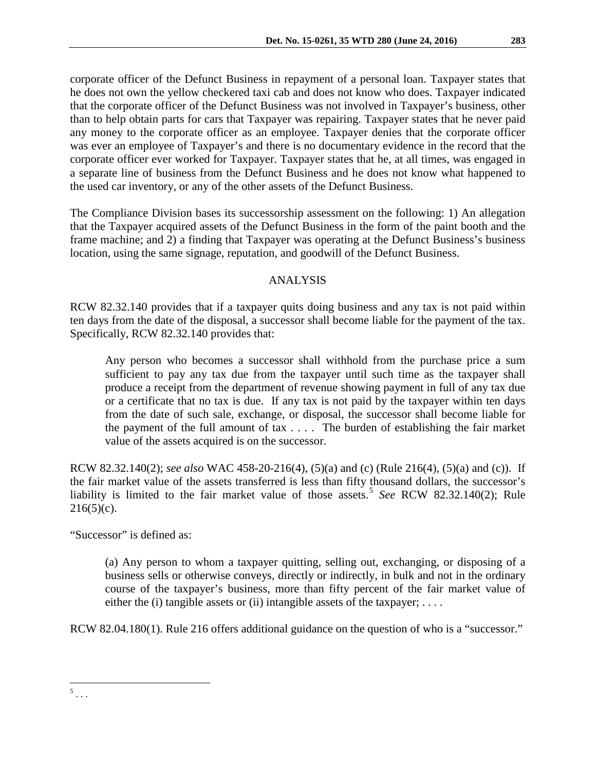corporate officer of the Defunct Business in repayment of a personal loan. Taxpayer states that he does not own the yellow checkered taxi cab and does not know who does. Taxpayer indicated that the corporate officer of the Defunct Business was not involved in Taxpayer's business, other than to help obtain parts for cars that Taxpayer was repairing. Taxpayer states that he never paid any money to the corporate officer as an employee. Taxpayer denies that the corporate officer was ever an employee of Taxpayer's and there is no documentary evidence in the record that the corporate officer ever worked for Taxpayer. Taxpayer states that he, at all times, was engaged in a separate line of business from the Defunct Business and he does not know what happened to the used car inventory, or any of the other assets of the Defunct Business.

The Compliance Division bases its successorship assessment on the following: 1) An allegation that the Taxpayer acquired assets of the Defunct Business in the form of the paint booth and the frame machine; and 2) a finding that Taxpayer was operating at the Defunct Business's business location, using the same signage, reputation, and goodwill of the Defunct Business.

# ANALYSIS

RCW 82.32.140 provides that if a taxpayer quits doing business and any tax is not paid within ten days from the date of the disposal, a successor shall become liable for the payment of the tax. Specifically, RCW 82.32.140 provides that:

Any person who becomes a successor shall withhold from the purchase price a sum sufficient to pay any tax due from the taxpayer until such time as the taxpayer shall produce a receipt from the department of revenue showing payment in full of any tax due or a certificate that no tax is due. If any tax is not paid by the taxpayer within ten days from the date of such sale, exchange, or disposal, the successor shall become liable for the payment of the full amount of tax . . . . The burden of establishing the fair market value of the assets acquired is on the successor.

RCW 82.32.140(2); *see also* WAC 458-20-216(4), (5)(a) and (c) (Rule 216(4), (5)(a) and (c)). If the fair market value of the assets transferred is less than fifty thousand dollars, the successor's liability is limited to the fair market value of those assets.<sup>[5](#page-3-0)</sup> *See* RCW 82.32.140(2); Rule  $216(5)(c)$ .

"Successor" is defined as:

(a) Any person to whom a taxpayer quitting, selling out, exchanging, or disposing of a business sells or otherwise conveys, directly or indirectly, in bulk and not in the ordinary course of the taxpayer's business, more than fifty percent of the fair market value of either the (i) tangible assets or (ii) intangible assets of the taxpayer;  $\dots$ .

RCW 82.04.180(1). Rule 216 offers additional guidance on the question of who is a "successor."

<span id="page-3-0"></span> $^5$  . . .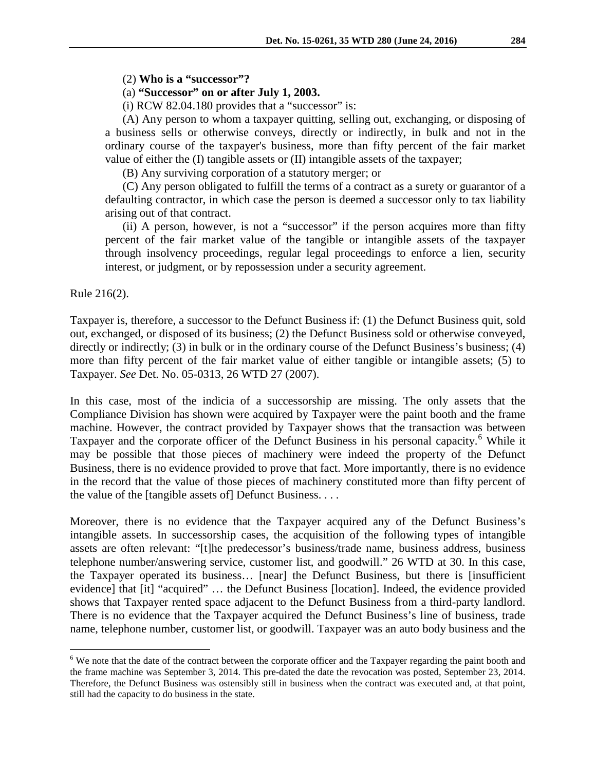(2) **Who is a "successor"?**

(a) **"Successor" on or after July 1, 2003.**

 $(i)$  RCW 82.04.180 provides that a "successor" is:

(A) Any person to whom a taxpayer quitting, selling out, exchanging, or disposing of a business sells or otherwise conveys, directly or indirectly, in bulk and not in the ordinary course of the taxpayer's business, more than fifty percent of the fair market value of either the (I) tangible assets or (II) intangible assets of the taxpayer;

(B) Any surviving corporation of a statutory merger; or

(C) Any person obligated to fulfill the terms of a contract as a surety or guarantor of a defaulting contractor, in which case the person is deemed a successor only to tax liability arising out of that contract.

(ii) A person, however, is not a "successor" if the person acquires more than fifty percent of the fair market value of the tangible or intangible assets of the taxpayer through insolvency proceedings, regular legal proceedings to enforce a lien, security interest, or judgment, or by repossession under a security agreement.

Rule 216(2).

Taxpayer is, therefore, a successor to the Defunct Business if: (1) the Defunct Business quit, sold out, exchanged, or disposed of its business; (2) the Defunct Business sold or otherwise conveyed, directly or indirectly; (3) in bulk or in the ordinary course of the Defunct Business's business; (4) more than fifty percent of the fair market value of either tangible or intangible assets; (5) to Taxpayer. *See* Det. No. 05-0313, 26 WTD 27 (2007).

In this case, most of the indicia of a successorship are missing. The only assets that the Compliance Division has shown were acquired by Taxpayer were the paint booth and the frame machine. However, the contract provided by Taxpayer shows that the transaction was between Taxpayer and the corporate officer of the Defunct Business in his personal capacity.<sup>[6](#page-4-0)</sup> While it may be possible that those pieces of machinery were indeed the property of the Defunct Business, there is no evidence provided to prove that fact. More importantly, there is no evidence in the record that the value of those pieces of machinery constituted more than fifty percent of the value of the [tangible assets of] Defunct Business. . . .

Moreover, there is no evidence that the Taxpayer acquired any of the Defunct Business's intangible assets. In successorship cases, the acquisition of the following types of intangible assets are often relevant: "[t]he predecessor's business/trade name, business address, business telephone number/answering service, customer list, and goodwill." 26 WTD at 30. In this case, the Taxpayer operated its business… [near] the Defunct Business, but there is [insufficient evidence] that [it] "acquired" … the Defunct Business [location]. Indeed, the evidence provided shows that Taxpayer rented space adjacent to the Defunct Business from a third-party landlord. There is no evidence that the Taxpayer acquired the Defunct Business's line of business, trade name, telephone number, customer list, or goodwill. Taxpayer was an auto body business and the

<span id="page-4-0"></span><sup>&</sup>lt;sup>6</sup> We note that the date of the contract between the corporate officer and the Taxpayer regarding the paint booth and the frame machine was September 3, 2014. This pre-dated the date the revocation was posted, September 23, 2014. Therefore, the Defunct Business was ostensibly still in business when the contract was executed and, at that point, still had the capacity to do business in the state.